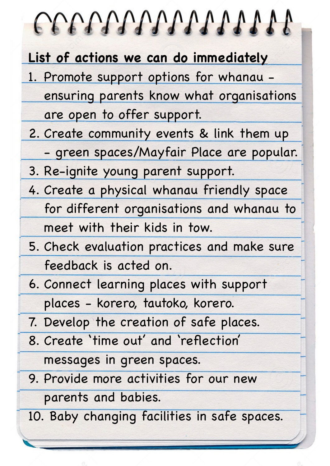| COOPOOPOOPOOP AND A                          |
|----------------------------------------------|
| List of actions we can do immediately        |
| 1. Promote support options for whanau -      |
| ensuring parents know what organisations     |
| are open to offer support.                   |
| 2. Create community events & link them up    |
| - green spaces/Mayfair Place are popular.    |
| 3. Re-ignite young parent support.           |
| 4. Create a physical whanau friendly space   |
| for different organisations and whanau to    |
| meet with their kids in tow.                 |
| 5. Check evaluation practices and make sure  |
| feedback is acted on.                        |
| 6. Connect learning places with support      |
| places - korero, tautoko, korero.            |
| 7. Develop the creation of safe places.      |
| 8. Create 'time out' and 'reflection'        |
| messages in green spaces.                    |
| 9. Provide more activities for our new       |
| parents and babies.                          |
| 10. Baby changing facilities in safe spaces. |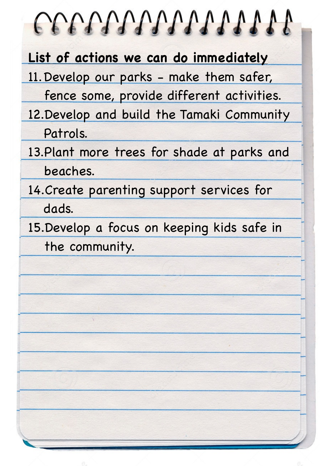## COOPOOPOOPDADADA **List of actions we can do immediately** 11.Develop our parks - make them safer, fence some, provide different activities. 12.Develop and build the Tamaki Community Patrols. 13.Plant more trees for shade at parks and

beaches.

14.Create parenting support services for dads.

15.Develop a focus on keeping kids safe in the community.